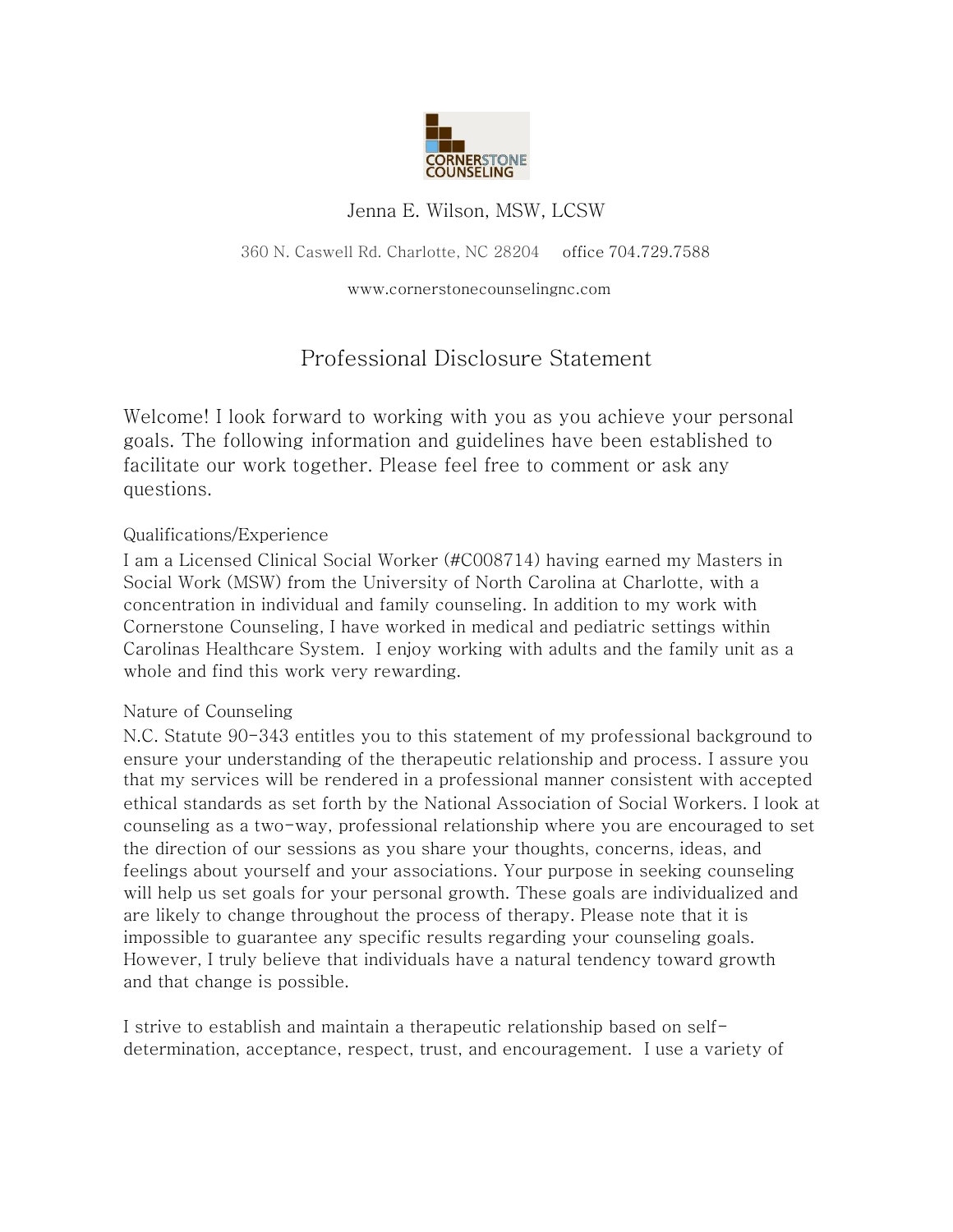

Jenna E. Wilson, MSW, LCSW

360 N. Caswell Rd. Charlotte, NC 28204 office 704.729.758[8](http://www.cornerstonecounselingnc.com/)

[www.cornerstonecounselingnc.com](http://www.cornerstonecounselingnc.com/)

# Professional Disclosure Statement

Welcome! I look forward to working with you as you achieve your personal goals. The following information and guidelines have been established to facilitate our work together. Please feel free to comment or ask any questions.

## Qualifications/Experience

I am a Licensed Clinical Social Worker (#C008714) having earned my Masters in Social Work (MSW) from the University of North Carolina at Charlotte, with a concentration in individual and family counseling. In addition to my work with Cornerstone Counseling, I have worked in medical and pediatric settings within Carolinas Healthcare System. I enjoy working with adults and the family unit as a whole and find this work very rewarding.

## Nature of Counseling

N.C. Statute 90-343 entitles you to this statement of my professional background to ensure your understanding of the therapeutic relationship and process. I assure you that my services will be rendered in a professional manner consistent with accepted ethical standards as set forth by the National Association of Social Workers. I look at counseling as a two-way, professional relationship where you are encouraged to set the direction of our sessions as you share your thoughts, concerns, ideas, and feelings about yourself and your associations. Your purpose in seeking counseling will help us set goals for your personal growth. These goals are individualized and are likely to change throughout the process of therapy. Please note that it is impossible to guarantee any specific results regarding your counseling goals. However, I truly believe that individuals have a natural tendency toward growth and that change is possible.

I strive to establish and maintain a therapeutic relationship based on selfdetermination, acceptance, respect, trust, and encouragement. I use a variety of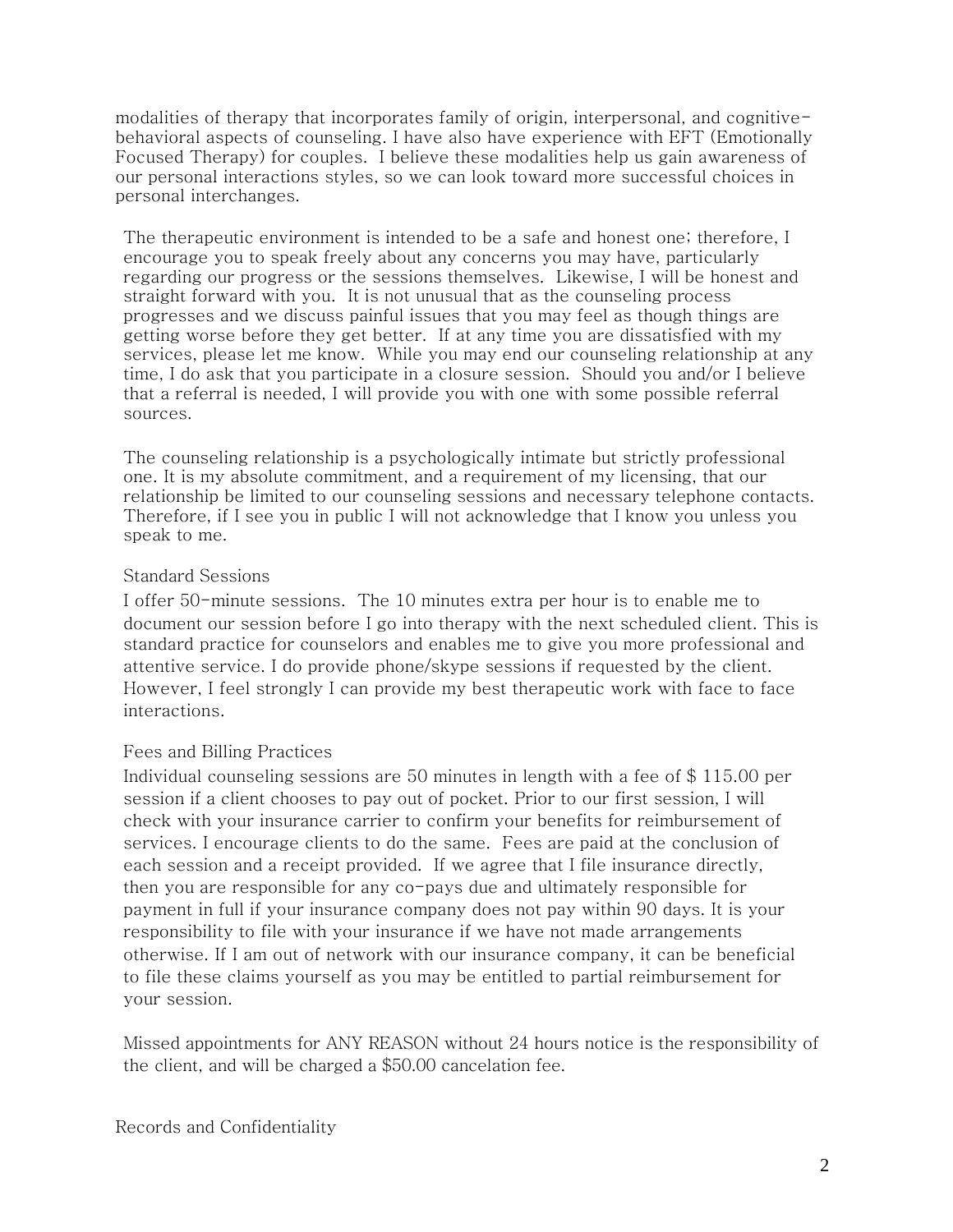modalities of therapy that incorporates family of origin, interpersonal, and cognitivebehavioral aspects of counseling. I have also have experience with EFT (Emotionally Focused Therapy) for couples. I believe these modalities help us gain awareness of our personal interactions styles, so we can look toward more successful choices in personal interchanges.

The therapeutic environment is intended to be a safe and honest one; therefore, I encourage you to speak freely about any concerns you may have, particularly regarding our progress or the sessions themselves. Likewise, I will be honest and straight forward with you. It is not unusual that as the counseling process progresses and we discuss painful issues that you may feel as though things are getting worse before they get better. If at any time you are dissatisfied with my services, please let me know. While you may end our counseling relationship at any time, I do ask that you participate in a closure session. Should you and/or I believe that a referral is needed, I will provide you with one with some possible referral sources.

The counseling relationship is a psychologically intimate but strictly professional one. It is my absolute commitment, and a requirement of my licensing, that our relationship be limited to our counseling sessions and necessary telephone contacts. Therefore, if I see you in public I will not acknowledge that I know you unless you speak to me.

### Standard Sessions

I offer 50-minute sessions. The 10 minutes extra per hour is to enable me to document our session before I go into therapy with the next scheduled client. This is standard practice for counselors and enables me to give you more professional and attentive service. I do provide phone/skype sessions if requested by the client. However, I feel strongly I can provide my best therapeutic work with face to face interactions.

#### Fees and Billing Practices

Individual counseling sessions are 50 minutes in length with a fee of \$ 115.00 per session if a client chooses to pay out of pocket. Prior to our first session, I will check with your insurance carrier to confirm your benefits for reimbursement of services. I encourage clients to do the same. Fees are paid at the conclusion of each session and a receipt provided. If we agree that I file insurance directly, then you are responsible for any co-pays due and ultimately responsible for payment in full if your insurance company does not pay within 90 days. It is your responsibility to file with your insurance if we have not made arrangements otherwise. If I am out of network with our insurance company, it can be beneficial to file these claims yourself as you may be entitled to partial reimbursement for your session.

Missed appointments for ANY REASON without 24 hours notice is the responsibility of the client, and will be charged a \$50.00 cancelation fee.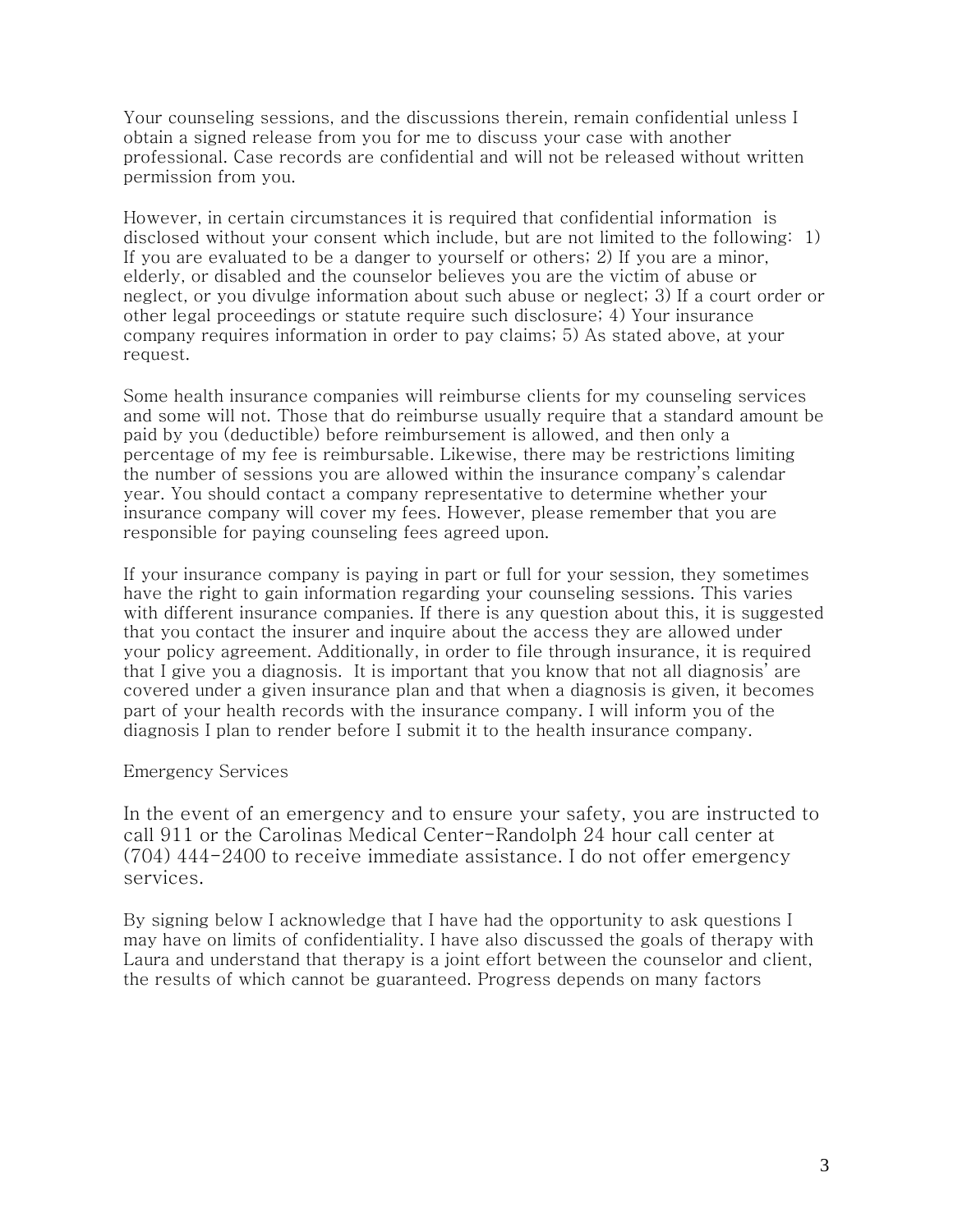Your counseling sessions, and the discussions therein, remain confidential unless I obtain a signed release from you for me to discuss your case with another professional. Case records are confidential and will not be released without written permission from you.

However, in certain circumstances it is required that confidential information is disclosed without your consent which include, but are not limited to the following: 1) If you are evaluated to be a danger to yourself or others; 2) If you are a minor, elderly, or disabled and the counselor believes you are the victim of abuse or neglect, or you divulge information about such abuse or neglect; 3) If a court order or other legal proceedings or statute require such disclosure; 4) Your insurance company requires information in order to pay claims; 5) As stated above, at your request.

Some health insurance companies will reimburse clients for my counseling services and some will not. Those that do reimburse usually require that a standard amount be paid by you (deductible) before reimbursement is allowed, and then only a percentage of my fee is reimbursable. Likewise, there may be restrictions limiting the number of sessions you are allowed within the insurance company's calendar year. You should contact a company representative to determine whether your insurance company will cover my fees. However, please remember that you are responsible for paying counseling fees agreed upon.

If your insurance company is paying in part or full for your session, they sometimes have the right to gain information regarding your counseling sessions. This varies with different insurance companies. If there is any question about this, it is suggested that you contact the insurer and inquire about the access they are allowed under your policy agreement. Additionally, in order to file through insurance, it is required that I give you a diagnosis. It is important that you know that not all diagnosis' are covered under a given insurance plan and that when a diagnosis is given, it becomes part of your health records with the insurance company. I will inform you of the diagnosis I plan to render before I submit it to the health insurance company.

### Emergency Services

In the event of an emergency and to ensure your safety, you are instructed to call 911 or the Carolinas Medical Center-Randolph 24 hour call center at (704) 444-2400 to receive immediate assistance. I do not offer emergency services.

By signing below I acknowledge that I have had the opportunity to ask questions I may have on limits of confidentiality. I have also discussed the goals of therapy with Laura and understand that therapy is a joint effort between the counselor and client, the results of which cannot be guaranteed. Progress depends on many factors